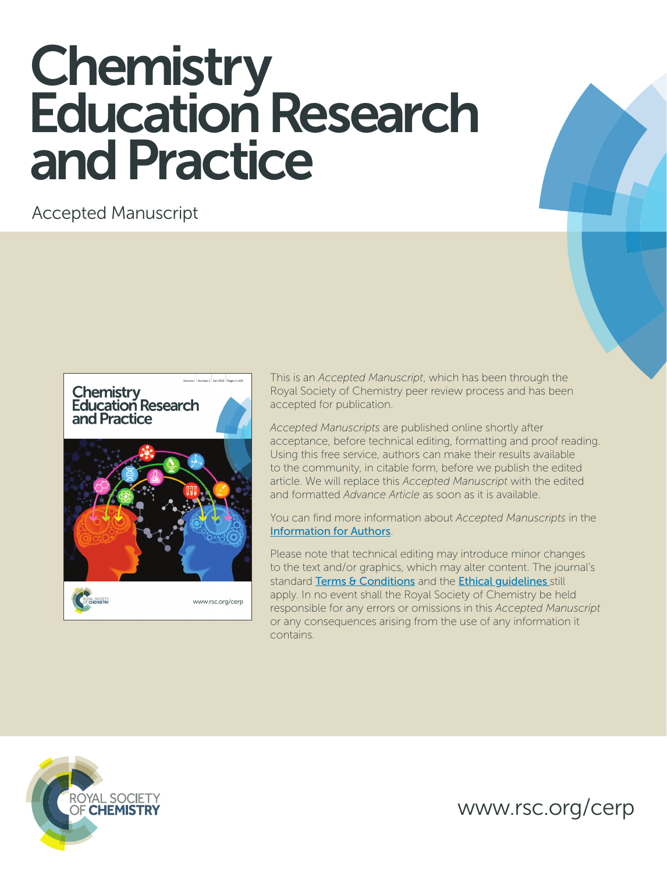# Chemistry Education Research and Practice

Accepted Manuscript



This is an *Accepted Manuscript*, which has been through the Royal Society of Chemistry peer review process and has been accepted for publication.

*Accepted Manuscripts* are published online shortly after acceptance, before technical editing, formatting and proof reading. Using this free service, authors can make their results available to the community, in citable form, before we publish the edited article. We will replace this *Accepted Manuscript* with the edited and formatted *Advance Article* as soon as it is available.

You can find more information about *Accepted Manuscripts* in the [Information for Authors](http://www.rsc.org/Publishing/Journals/guidelines/AuthorGuidelines/JournalPolicy/accepted_manuscripts.asp).

Please note that technical editing may introduce minor changes to the text and/or graphics, which may alter content. The journal's standard [Terms & Conditions](http://www.rsc.org/help/termsconditions.asp) and the Ethical quidelines still apply. In no event shall the Royal Society of Chemistry be held responsible for any errors or omissions in this *Accepted Manuscript* or any consequences arising from the use of any information it contains.



www.rsc.org/cerp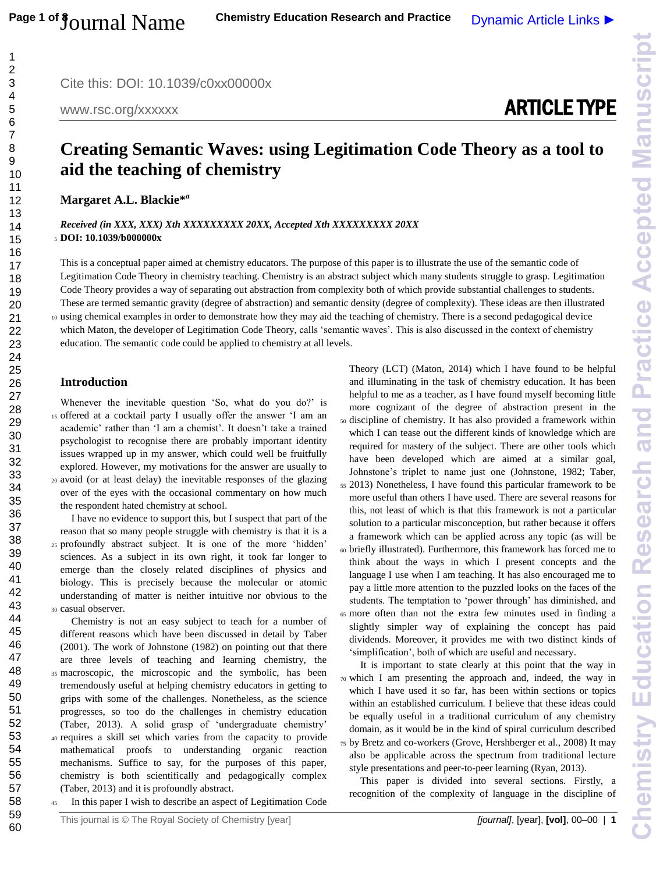ARTICLE TYPE

# **Creating Semantic Waves: using Legitimation Code Theory as a tool to aid the teaching of chemistry**

**Margaret A.L. Blackie\*** *a*

*Received (in XXX, XXX) Xth XXXXXXXXX 20XX, Accepted Xth XXXXXXXXX 20XX* <sup>5</sup> **DOI: 10.1039/b000000x**

This is a conceptual paper aimed at chemistry educators. The purpose of this paper is to illustrate the use of the semantic code of Legitimation Code Theory in chemistry teaching. Chemistry is an abstract subject which many students struggle to grasp. Legitimation Code Theory provides a way of separating out abstraction from complexity both of which provide substantial challenges to students. These are termed semantic gravity (degree of abstraction) and semantic density (degree of complexity). These ideas are then illustrated <sup>10</sup> using chemical examples in order to demonstrate how they may aid the teaching of chemistry. There is a second pedagogical device which Maton, the developer of Legitimation Code Theory, calls 'semantic waves'. This is also discussed in the context of chemistry education. The semantic code could be applied to chemistry at all levels.

# **Introduction**

Whenever the inevitable question 'So, what do you do?' is <sup>15</sup> offered at a cocktail party I usually offer the answer 'I am an academic' rather than 'I am a chemist'. It doesn't take a trained psychologist to recognise there are probably important identity issues wrapped up in my answer, which could well be fruitfully explored. However, my motivations for the answer are usually to <sup>20</sup> avoid (or at least delay) the inevitable responses of the glazing over of the eyes with the occasional commentary on how much the respondent hated chemistry at school.

I have no evidence to support this, but I suspect that part of the reason that so many people struggle with chemistry is that it is a <sup>25</sup> profoundly abstract subject. It is one of the more 'hidden' sciences. As a subject in its own right, it took far longer to emerge than the closely related disciplines of physics and biology. This is precisely because the molecular or atomic understanding of matter is neither intuitive nor obvious to the <sup>30</sup> casual observer.

Chemistry is not an easy subject to teach for a number of different reasons which have been discussed in detail by Taber (2001). The work of Johnstone (1982) on pointing out that there are three levels of teaching and learning chemistry, the <sup>35</sup> macroscopic, the microscopic and the symbolic, has been tremendously useful at helping chemistry educators in getting to grips with some of the challenges. Nonetheless, as the science progresses, so too do the challenges in chemistry education (Taber, 2013). A solid grasp of 'undergraduate chemistry' <sup>40</sup> requires a skill set which varies from the capacity to provide mathematical proofs to understanding organic reaction mechanisms. Suffice to say, for the purposes of this paper, chemistry is both scientifically and pedagogically complex (Taber, 2013) and it is profoundly abstract.

In this paper I wish to describe an aspect of Legitimation Code

Theory (LCT) (Maton, 2014) which I have found to be helpful and illuminating in the task of chemistry education. It has been helpful to me as a teacher, as I have found myself becoming little more cognizant of the degree of abstraction present in the <sup>50</sup> discipline of chemistry. It has also provided a framework within which I can tease out the different kinds of knowledge which are

- required for mastery of the subject. There are other tools which have been developed which are aimed at a similar goal, Johnstone's triplet to name just one (Johnstone, 1982; Taber, <sup>55</sup> 2013) Nonetheless, I have found this particular framework to be
- more useful than others I have used. There are several reasons for this, not least of which is that this framework is not a particular solution to a particular misconception, but rather because it offers a framework which can be applied across any topic (as will be
- <sup>60</sup> briefly illustrated). Furthermore, this framework has forced me to think about the ways in which I present concepts and the language I use when I am teaching. It has also encouraged me to pay a little more attention to the puzzled looks on the faces of the students. The temptation to 'power through' has diminished, and
- <sup>65</sup> more often than not the extra few minutes used in finding a slightly simpler way of explaining the concept has paid dividends. Moreover, it provides me with two distinct kinds of 'simplification', both of which are useful and necessary.

It is important to state clearly at this point that the way in <sup>70</sup> which I am presenting the approach and, indeed, the way in which I have used it so far, has been within sections or topics within an established curriculum. I believe that these ideas could be equally useful in a traditional curriculum of any chemistry domain, as it would be in the kind of spiral curriculum described <sup>75</sup> by Bretz and co-workers (Grove, Hershberger et al., 2008) It may also be applicable across the spectrum from traditional lecture style presentations and peer-to-peer learning (Ryan, 2013).

This paper is divided into several sections. Firstly, a recognition of the complexity of language in the discipline of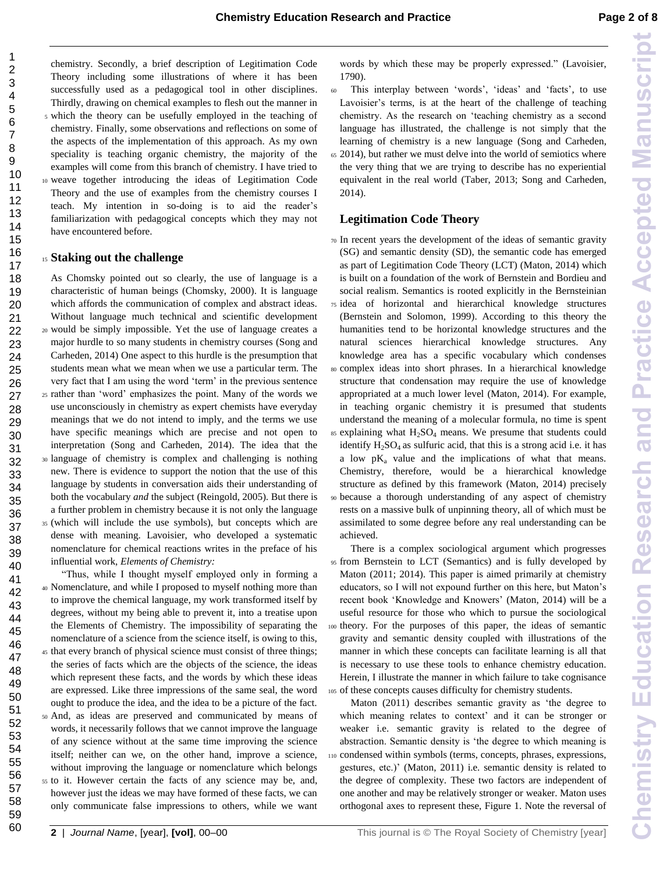**Chemistry Education Research and Practice Accepted ManuscriptChemistry Education Research and Practice Accepted Manuscr** 

chemistry. Secondly, a brief description of Legitimation Code Theory including some illustrations of where it has been successfully used as a pedagogical tool in other disciplines. Thirdly, drawing on chemical examples to flesh out the manner in <sup>5</sup> which the theory can be usefully employed in the teaching of chemistry. Finally, some observations and reflections on some of the aspects of the implementation of this approach. As my own speciality is teaching organic chemistry, the majority of the examples will come from this branch of chemistry. I have tried to <sup>10</sup> weave together introducing the ideas of Legitimation Code Theory and the use of examples from the chemistry courses I teach. My intention in so-doing is to aid the reader's familiarization with pedagogical concepts which they may not have encountered before.

#### <sup>15</sup> **Staking out the challenge**

As Chomsky pointed out so clearly, the use of language is a characteristic of human beings (Chomsky, 2000). It is language which affords the communication of complex and abstract ideas. Without language much technical and scientific development <sup>20</sup> would be simply impossible. Yet the use of language creates a major hurdle to so many students in chemistry courses (Song and Carheden, 2014) One aspect to this hurdle is the presumption that students mean what we mean when we use a particular term. The very fact that I am using the word 'term' in the previous sentence <sup>25</sup> rather than 'word' emphasizes the point. Many of the words we use unconsciously in chemistry as expert chemists have everyday meanings that we do not intend to imply, and the terms we use have specific meanings which are precise and not open to interpretation (Song and Carheden, 2014). The idea that the <sup>30</sup> language of chemistry is complex and challenging is nothing new. There is evidence to support the notion that the use of this language by students in conversation aids their understanding of both the vocabulary *and* the subject (Reingold, 2005). But there is a further problem in chemistry because it is not only the language <sup>35</sup> (which will include the use symbols), but concepts which are dense with meaning. Lavoisier, who developed a systematic nomenclature for chemical reactions writes in the preface of his influential work, *Elements of Chemistry:*

"Thus, while I thought myself employed only in forming a <sup>40</sup> Nomenclature, and while I proposed to myself nothing more than to improve the chemical language, my work transformed itself by degrees, without my being able to prevent it, into a treatise upon the Elements of Chemistry. The impossibility of separating the nomenclature of a science from the science itself, is owing to this, <sup>45</sup> that every branch of physical science must consist of three things; the series of facts which are the objects of the science, the ideas which represent these facts, and the words by which these ideas are expressed. Like three impressions of the same seal, the word ought to produce the idea, and the idea to be a picture of the fact. <sup>50</sup> And, as ideas are preserved and communicated by means of words, it necessarily follows that we cannot improve the language of any science without at the same time improving the science itself; neither can we, on the other hand, improve a science,

without improving the language or nomenclature which belongs <sup>55</sup> to it. However certain the facts of any science may be, and, however just the ideas we may have formed of these facts, we can only communicate false impressions to others, while we want

words by which these may be properly expressed." (Lavoisier, 1790).

<sup>60</sup> This interplay between 'words', 'ideas' and 'facts', to use Lavoisier's terms, is at the heart of the challenge of teaching chemistry. As the research on 'teaching chemistry as a second language has illustrated, the challenge is not simply that the learning of chemistry is a new language (Song and Carheden,  $65$  2014), but rather we must delve into the world of semiotics where the very thing that we are trying to describe has no experiential equivalent in the real world (Taber, 2013; Song and Carheden, 2014).

# **Legitimation Code Theory**

<sup>70</sup> In recent years the development of the ideas of semantic gravity (SG) and semantic density (SD), the semantic code has emerged as part of Legitimation Code Theory (LCT) (Maton, 2014) which is built on a foundation of the work of Bernstein and Bordieu and social realism. Semantics is rooted explicitly in the Bernsteinian <sup>75</sup> idea of horizontal and hierarchical knowledge structures (Bernstein and Solomon, 1999). According to this theory the humanities tend to be horizontal knowledge structures and the natural sciences hierarchical knowledge structures. Any knowledge area has a specific vocabulary which condenses <sup>80</sup> complex ideas into short phrases. In a hierarchical knowledge structure that condensation may require the use of knowledge appropriated at a much lower level (Maton, 2014). For example, in teaching organic chemistry it is presumed that students understand the meaning of a molecular formula, no time is spent  $85$  explaining what  $H_2SO_4$  means. We presume that students could identify  $H_2SO_4$  as sulfuric acid, that this is a strong acid i.e. it has a low  $pK_a$  value and the implications of what that means. Chemistry, therefore, would be a hierarchical knowledge structure as defined by this framework (Maton, 2014) precisely <sup>90</sup> because a thorough understanding of any aspect of chemistry rests on a massive bulk of unpinning theory, all of which must be assimilated to some degree before any real understanding can be achieved.

There is a complex sociological argument which progresses <sup>95</sup> from Bernstein to LCT (Semantics) and is fully developed by Maton (2011; 2014). This paper is aimed primarily at chemistry educators, so I will not expound further on this here, but Maton's recent book 'Knowledge and Knowers' (Maton, 2014) will be a useful resource for those who which to pursue the sociological <sup>100</sup> theory. For the purposes of this paper, the ideas of semantic gravity and semantic density coupled with illustrations of the manner in which these concepts can facilitate learning is all that is necessary to use these tools to enhance chemistry education. Herein, I illustrate the manner in which failure to take cognisance <sup>105</sup> of these concepts causes difficulty for chemistry students.

Maton (2011) describes semantic gravity as 'the degree to which meaning relates to context' and it can be stronger or weaker i.e. semantic gravity is related to the degree of abstraction. Semantic density is 'the degree to which meaning is <sup>110</sup> condensed within symbols (terms, concepts, phrases, expressions, gestures, etc.)' (Maton, 2011) i.e. semantic density is related to the degree of complexity. These two factors are independent of one another and may be relatively stronger or weaker. Maton uses orthogonal axes to represent these, Figure 1. Note the reversal of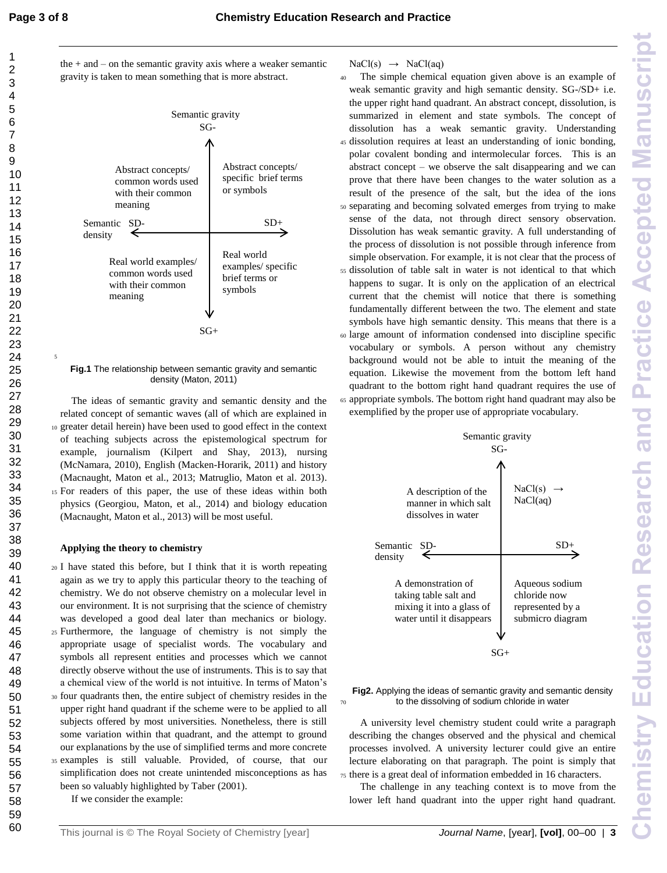60

5

the  $+$  and  $-$  on the semantic gravity axis where a weaker semantic gravity is taken to mean something that is more abstract.



**Fig.1** The relationship between semantic gravity and semantic density (Maton, 2011)

The ideas of semantic gravity and semantic density and the related concept of semantic waves (all of which are explained in <sup>10</sup> greater detail herein) have been used to good effect in the context of teaching subjects across the epistemological spectrum for example, journalism (Kilpert and Shay, 2013), nursing (McNamara, 2010), English (Macken-Horarik, 2011) and history (Macnaught, Maton et al., 2013; Matruglio, Maton et al. 2013). <sup>15</sup> For readers of this paper, the use of these ideas within both physics (Georgiou, Maton, et al., 2014) and biology education (Macnaught, Maton et al., 2013) will be most useful.

#### **Applying the theory to chemistry**

<sup>20</sup> I have stated this before, but I think that it is worth repeating again as we try to apply this particular theory to the teaching of chemistry. We do not observe chemistry on a molecular level in our environment. It is not surprising that the science of chemistry was developed a good deal later than mechanics or biology. <sup>25</sup> Furthermore, the language of chemistry is not simply the appropriate usage of specialist words. The vocabulary and symbols all represent entities and processes which we cannot directly observe without the use of instruments. This is to say that a chemical view of the world is not intuitive. In terms of Maton's <sup>30</sup> four quadrants then, the entire subject of chemistry resides in the upper right hand quadrant if the scheme were to be applied to all subjects offered by most universities. Nonetheless, there is still some variation within that quadrant, and the attempt to ground our explanations by the use of simplified terms and more concrete <sup>35</sup> examples is still valuable. Provided, of course, that our simplification does not create unintended misconceptions as has been so valuably highlighted by Taber (2001).

If we consider the example:

 $NaCl(s) \rightarrow NaCl(aq)$ 

- <sup>40</sup> The simple chemical equation given above is an example of weak semantic gravity and high semantic density. SG-/SD+ i.e. the upper right hand quadrant. An abstract concept, dissolution, is summarized in element and state symbols. The concept of dissolution has a weak semantic gravity. Understanding <sup>45</sup> dissolution requires at least an understanding of ionic bonding, polar covalent bonding and intermolecular forces. This is an abstract concept – we observe the salt disappearing and we can prove that there have been changes to the water solution as a result of the presence of the salt, but the idea of the ions <sup>50</sup> separating and becoming solvated emerges from trying to make sense of the data, not through direct sensory observation. Dissolution has weak semantic gravity. A full understanding of the process of dissolution is not possible through inference from simple observation. For example, it is not clear that the process of <sup>55</sup> dissolution of table salt in water is not identical to that which happens to sugar. It is only on the application of an electrical current that the chemist will notice that there is something fundamentally different between the two. The element and state symbols have high semantic density. This means that there is a <sup>60</sup> large amount of information condensed into discipline specific vocabulary or symbols. A person without any chemistry background would not be able to intuit the meaning of the equation. Likewise the movement from the bottom left hand quadrant to the bottom right hand quadrant requires the use of <sup>65</sup> appropriate symbols. The bottom right hand quadrant may also be
	- exemplified by the proper use of appropriate vocabulary.



**Fig2.** Applying the ideas of semantic gravity and semantic density to the dissolving of sodium chloride in water

A university level chemistry student could write a paragraph describing the changes observed and the physical and chemical processes involved. A university lecturer could give an entire lecture elaborating on that paragraph. The point is simply that <sup>75</sup> there is a great deal of information embedded in 16 characters.

The challenge in any teaching context is to move from the lower left hand quadrant into the upper right hand quadrant.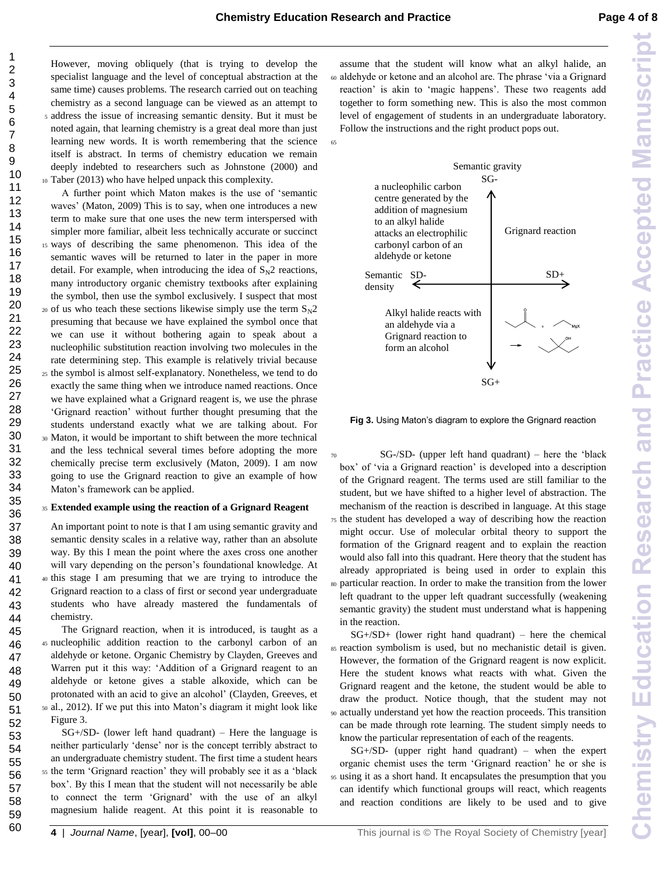**Chemistry Education Research and Practice Accepted ManuscriptChemistry Education Research and Practice Accepted Manusci** 

However, moving obliquely (that is trying to develop the specialist language and the level of conceptual abstraction at the same time) causes problems. The research carried out on teaching chemistry as a second language can be viewed as an attempt to <sup>5</sup> address the issue of increasing semantic density. But it must be noted again, that learning chemistry is a great deal more than just learning new words. It is worth remembering that the science itself is abstract. In terms of chemistry education we remain deeply indebted to researchers such as Johnstone (2000) and <sup>10</sup> Taber (2013) who have helped unpack this complexity.

A further point which Maton makes is the use of 'semantic waves' (Maton, 2009) This is to say, when one introduces a new term to make sure that one uses the new term interspersed with simpler more familiar, albeit less technically accurate or succinct <sup>15</sup> ways of describing the same phenomenon. This idea of the semantic waves will be returned to later in the paper in more detail. For example, when introducing the idea of  $S_N2$  reactions, many introductory organic chemistry textbooks after explaining the symbol, then use the symbol exclusively. I suspect that most 20 of us who teach these sections likewise simply use the term  $S_N2$ presuming that because we have explained the symbol once that we can use it without bothering again to speak about a nucleophilic substitution reaction involving two molecules in the rate determining step. This example is relatively trivial because <sup>25</sup> the symbol is almost self-explanatory. Nonetheless, we tend to do exactly the same thing when we introduce named reactions. Once we have explained what a Grignard reagent is, we use the phrase 'Grignard reaction' without further thought presuming that the students understand exactly what we are talking about. For <sup>30</sup> Maton, it would be important to shift between the more technical and the less technical several times before adopting the more chemically precise term exclusively (Maton, 2009). I am now going to use the Grignard reaction to give an example of how Maton's framework can be applied.

#### <sup>35</sup> **Extended example using the reaction of a Grignard Reagent**

An important point to note is that I am using semantic gravity and semantic density scales in a relative way, rather than an absolute way. By this I mean the point where the axes cross one another will vary depending on the person's foundational knowledge. At <sup>40</sup> this stage I am presuming that we are trying to introduce the Grignard reaction to a class of first or second year undergraduate students who have already mastered the fundamentals of chemistry.

The Grignard reaction, when it is introduced, is taught as a <sup>45</sup> nucleophilic addition reaction to the carbonyl carbon of an aldehyde or ketone. Organic Chemistry by Clayden, Greeves and Warren put it this way: 'Addition of a Grignard reagent to an aldehyde or ketone gives a stable alkoxide, which can be protonated with an acid to give an alcohol' (Clayden, Greeves, et <sup>50</sup> al., 2012). If we put this into Maton's diagram it might look like Figure 3.

SG+/SD- (lower left hand quadrant) – Here the language is neither particularly 'dense' nor is the concept terribly abstract to an undergraduate chemistry student. The first time a student hears <sup>55</sup> the term 'Grignard reaction' they will probably see it as a 'black box'. By this I mean that the student will not necessarily be able to connect the term 'Grignard' with the use of an alkyl magnesium halide reagent. At this point it is reasonable to

assume that the student will know what an alkyl halide, an <sup>60</sup> aldehyde or ketone and an alcohol are. The phrase 'via a Grignard reaction' is akin to 'magic happens'. These two reagents add together to form something new. This is also the most common level of engagement of students in an undergraduate laboratory. Follow the instructions and the right product pops out.



**Fig 3.** Using Maton's diagram to explore the Grignard reaction

 $SG$ -/SD- (upper left hand quadrant) – here the 'black box' of 'via a Grignard reaction' is developed into a description of the Grignard reagent. The terms used are still familiar to the student, but we have shifted to a higher level of abstraction. The mechanism of the reaction is described in language. At this stage <sup>75</sup> the student has developed a way of describing how the reaction might occur. Use of molecular orbital theory to support the formation of the Grignard reagent and to explain the reaction would also fall into this quadrant. Here theory that the student has already appropriated is being used in order to explain this <sup>80</sup> particular reaction. In order to make the transition from the lower left quadrant to the upper left quadrant successfully (weakening semantic gravity) the student must understand what is happening in the reaction.

 $SG + /SD +$  (lower right hand quadrant) – here the chemical <sup>85</sup> reaction symbolism is used, but no mechanistic detail is given. However, the formation of the Grignard reagent is now explicit. Here the student knows what reacts with what. Given the Grignard reagent and the ketone, the student would be able to draw the product. Notice though, that the student may not <sup>90</sup> actually understand yet how the reaction proceeds. This transition can be made through rote learning. The student simply needs to know the particular representation of each of the reagents.

SG+/SD- (upper right hand quadrant) – when the expert organic chemist uses the term 'Grignard reaction' he or she is <sup>95</sup> using it as a short hand. It encapsulates the presumption that you can identify which functional groups will react, which reagents and reaction conditions are likely to be used and to give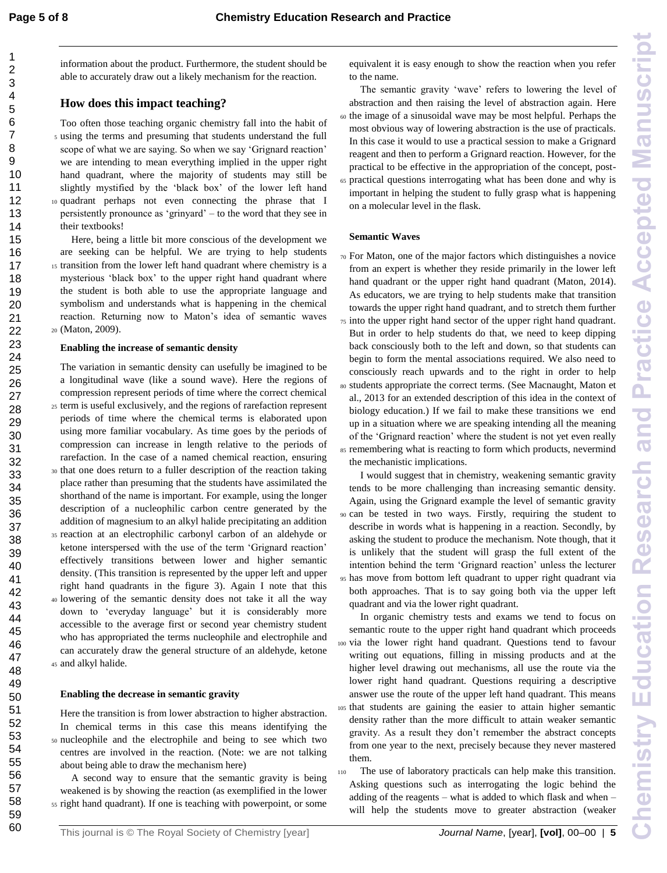information about the product. Furthermore, the student should be able to accurately draw out a likely mechanism for the reaction.

### **How does this impact teaching?**

Too often those teaching organic chemistry fall into the habit of <sup>5</sup> using the terms and presuming that students understand the full scope of what we are saying. So when we say 'Grignard reaction' we are intending to mean everything implied in the upper right hand quadrant, where the majority of students may still be slightly mystified by the 'black box' of the lower left hand <sup>10</sup> quadrant perhaps not even connecting the phrase that I persistently pronounce as 'grinyard' – to the word that they see in their textbooks!

Here, being a little bit more conscious of the development we are seeking can be helpful. We are trying to help students <sup>15</sup> transition from the lower left hand quadrant where chemistry is a mysterious 'black box' to the upper right hand quadrant where the student is both able to use the appropriate language and symbolism and understands what is happening in the chemical reaction. Returning now to Maton's idea of semantic waves <sup>20</sup> (Maton, 2009).

#### **Enabling the increase of semantic density**

The variation in semantic density can usefully be imagined to be a longitudinal wave (like a sound wave). Here the regions of compression represent periods of time where the correct chemical <sup>25</sup> term is useful exclusively, and the regions of rarefaction represent periods of time where the chemical terms is elaborated upon using more familiar vocabulary. As time goes by the periods of compression can increase in length relative to the periods of rarefaction. In the case of a named chemical reaction, ensuring <sup>30</sup> that one does return to a fuller description of the reaction taking place rather than presuming that the students have assimilated the shorthand of the name is important. For example, using the longer description of a nucleophilic carbon centre generated by the addition of magnesium to an alkyl halide precipitating an addition <sup>35</sup> reaction at an electrophilic carbonyl carbon of an aldehyde or ketone interspersed with the use of the term 'Grignard reaction' effectively transitions between lower and higher semantic density. (This transition is represented by the upper left and upper right hand quadrants in the figure 3). Again I note that this <sup>40</sup> lowering of the semantic density does not take it all the way down to 'everyday language' but it is considerably more accessible to the average first or second year chemistry student who has appropriated the terms nucleophile and electrophile and can accurately draw the general structure of an aldehyde, ketone <sup>45</sup> and alkyl halide.

#### **Enabling the decrease in semantic gravity**

Here the transition is from lower abstraction to higher abstraction. In chemical terms in this case this means identifying the <sup>50</sup> nucleophile and the electrophile and being to see which two centres are involved in the reaction. (Note: we are not talking about being able to draw the mechanism here)

A second way to ensure that the semantic gravity is being weakened is by showing the reaction (as exemplified in the lower <sup>55</sup> right hand quadrant). If one is teaching with powerpoint, or some equivalent it is easy enough to show the reaction when you refer to the name.

The semantic gravity 'wave' refers to lowering the level of abstraction and then raising the level of abstraction again. Here <sup>60</sup> the image of a sinusoidal wave may be most helpful. Perhaps the

- most obvious way of lowering abstraction is the use of practicals. In this case it would to use a practical session to make a Grignard reagent and then to perform a Grignard reaction. However, for the practical to be effective in the appropriation of the concept, post-
- <sup>65</sup> practical questions interrogating what has been done and why is important in helping the student to fully grasp what is happening on a molecular level in the flask.

#### **Semantic Waves**

- <sup>70</sup> For Maton, one of the major factors which distinguishes a novice from an expert is whether they reside primarily in the lower left hand quadrant or the upper right hand quadrant (Maton, 2014). As educators, we are trying to help students make that transition towards the upper right hand quadrant, and to stretch them further
- <sup>75</sup> into the upper right hand sector of the upper right hand quadrant. But in order to help students do that, we need to keep dipping back consciously both to the left and down, so that students can begin to form the mental associations required. We also need to consciously reach upwards and to the right in order to help
- <sup>80</sup> students appropriate the correct terms. (See Macnaught, Maton et al., 2013 for an extended description of this idea in the context of biology education.) If we fail to make these transitions we end up in a situation where we are speaking intending all the meaning of the 'Grignard reaction' where the student is not yet even really <sup>85</sup> remembering what is reacting to form which products, nevermind the mechanistic implications.

**Chemistry Education Research and Practice Accepted Manuscript**

hemistry

Education Research and Practice Accepted Manusc

I would suggest that in chemistry, weakening semantic gravity tends to be more challenging than increasing semantic density. Again, using the Grignard example the level of semantic gravity <sup>90</sup> can be tested in two ways. Firstly, requiring the student to describe in words what is happening in a reaction. Secondly, by asking the student to produce the mechanism. Note though, that it is unlikely that the student will grasp the full extent of the intention behind the term 'Grignard reaction' unless the lecturer <sup>95</sup> has move from bottom left quadrant to upper right quadrant via both approaches. That is to say going both via the upper left quadrant and via the lower right quadrant.

In organic chemistry tests and exams we tend to focus on semantic route to the upper right hand quadrant which proceeds <sup>100</sup> via the lower right hand quadrant. Questions tend to favour writing out equations, filling in missing products and at the higher level drawing out mechanisms, all use the route via the lower right hand quadrant. Questions requiring a descriptive answer use the route of the upper left hand quadrant. This means <sup>105</sup> that students are gaining the easier to attain higher semantic density rather than the more difficult to attain weaker semantic gravity. As a result they don't remember the abstract concepts from one year to the next, precisely because they never mastered them.

<sup>110</sup> The use of laboratory practicals can help make this transition. Asking questions such as interrogating the logic behind the adding of the reagents – what is added to which flask and when – will help the students move to greater abstraction (weaker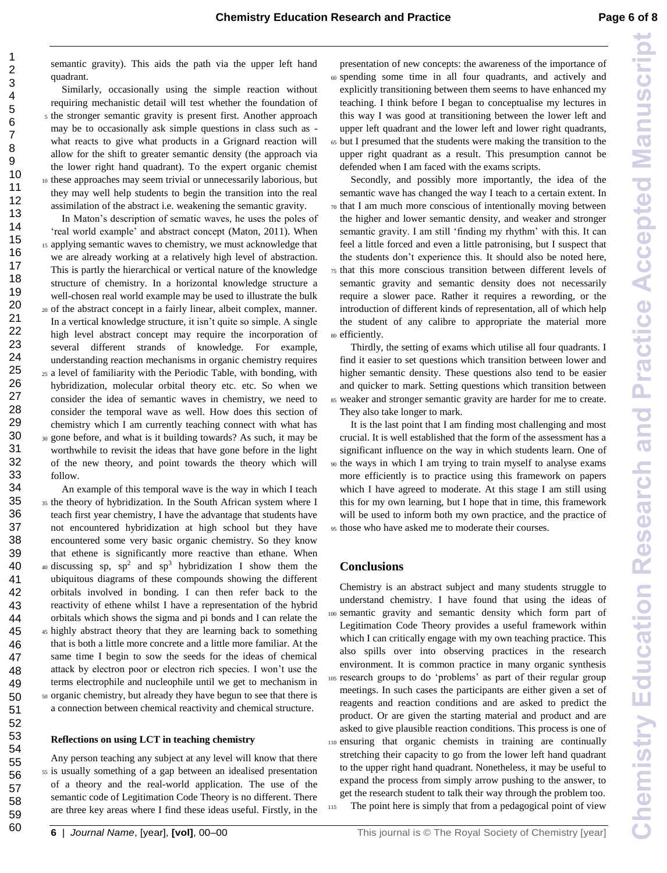semantic gravity). This aids the path via the upper left hand quadrant.

Similarly, occasionally using the simple reaction without requiring mechanistic detail will test whether the foundation of <sup>5</sup> the stronger semantic gravity is present first. Another approach may be to occasionally ask simple questions in class such as what reacts to give what products in a Grignard reaction will allow for the shift to greater semantic density (the approach via the lower right hand quadrant). To the expert organic chemist <sup>10</sup> these approaches may seem trivial or unnecessarily laborious, but they may well help students to begin the transition into the real assimilation of the abstract i.e. weakening the semantic gravity.

In Maton's description of sematic waves, he uses the poles of 'real world example' and abstract concept (Maton, 2011). When <sup>15</sup> applying semantic waves to chemistry, we must acknowledge that we are already working at a relatively high level of abstraction. This is partly the hierarchical or vertical nature of the knowledge structure of chemistry. In a horizontal knowledge structure a well-chosen real world example may be used to illustrate the bulk <sup>20</sup> of the abstract concept in a fairly linear, albeit complex, manner. In a vertical knowledge structure, it isn't quite so simple. A single high level abstract concept may require the incorporation of several different strands of knowledge. For example, understanding reaction mechanisms in organic chemistry requires <sup>25</sup> a level of familiarity with the Periodic Table, with bonding, with hybridization, molecular orbital theory etc. etc. So when we consider the idea of semantic waves in chemistry, we need to consider the temporal wave as well. How does this section of chemistry which I am currently teaching connect with what has <sup>30</sup> gone before, and what is it building towards? As such, it may be worthwhile to revisit the ideas that have gone before in the light of the new theory, and point towards the theory which will follow.

An example of this temporal wave is the way in which I teach <sup>35</sup> the theory of hybridization. In the South African system where I teach first year chemistry, I have the advantage that students have not encountered hybridization at high school but they have encountered some very basic organic chemistry. So they know that ethene is significantly more reactive than ethane. When 40 discussing sp,  $sp^2$  and  $sp^3$  hybridization I show them the ubiquitous diagrams of these compounds showing the different orbitals involved in bonding. I can then refer back to the reactivity of ethene whilst I have a representation of the hybrid orbitals which shows the sigma and pi bonds and I can relate the <sup>45</sup> highly abstract theory that they are learning back to something that is both a little more concrete and a little more familiar. At the same time I begin to sow the seeds for the ideas of chemical attack by electron poor or electron rich species. I won't use the terms electrophile and nucleophile until we get to mechanism in <sup>50</sup> organic chemistry, but already they have begun to see that there is a connection between chemical reactivity and chemical structure.

#### **Reflections on using LCT in teaching chemistry**

Any person teaching any subject at any level will know that there <sup>55</sup> is usually something of a gap between an idealised presentation of a theory and the real-world application. The use of the semantic code of Legitimation Code Theory is no different. There are three key areas where I find these ideas useful. Firstly, in the

presentation of new concepts: the awareness of the importance of <sup>60</sup> spending some time in all four quadrants, and actively and explicitly transitioning between them seems to have enhanced my teaching. I think before I began to conceptualise my lectures in this way I was good at transitioning between the lower left and upper left quadrant and the lower left and lower right quadrants, <sup>65</sup> but I presumed that the students were making the transition to the

upper right quadrant as a result. This presumption cannot be defended when I am faced with the exams scripts.

Secondly, and possibly more importantly, the idea of the semantic wave has changed the way I teach to a certain extent. In <sup>70</sup> that I am much more conscious of intentionally moving between the higher and lower semantic density, and weaker and stronger semantic gravity. I am still 'finding my rhythm' with this. It can feel a little forced and even a little patronising, but I suspect that the students don't experience this. It should also be noted here, <sup>75</sup> that this more conscious transition between different levels of

semantic gravity and semantic density does not necessarily require a slower pace. Rather it requires a rewording, or the introduction of different kinds of representation, all of which help the student of any calibre to appropriate the material more <sup>80</sup> efficiently.

Thirdly, the setting of exams which utilise all four quadrants. I find it easier to set questions which transition between lower and higher semantic density. These questions also tend to be easier and quicker to mark. Setting questions which transition between <sup>85</sup> weaker and stronger semantic gravity are harder for me to create. They also take longer to mark.

It is the last point that I am finding most challenging and most crucial. It is well established that the form of the assessment has a significant influence on the way in which students learn. One of

<sup>90</sup> the ways in which I am trying to train myself to analyse exams more efficiently is to practice using this framework on papers which I have agreed to moderate. At this stage I am still using this for my own learning, but I hope that in time, this framework will be used to inform both my own practice, and the practice of <sup>95</sup> those who have asked me to moderate their courses.

# **Conclusions**

Chemistry is an abstract subject and many students struggle to understand chemistry. I have found that using the ideas of <sup>100</sup> semantic gravity and semantic density which form part of Legitimation Code Theory provides a useful framework within which I can critically engage with my own teaching practice. This also spills over into observing practices in the research environment. It is common practice in many organic synthesis <sup>105</sup> research groups to do 'problems' as part of their regular group meetings. In such cases the participants are either given a set of reagents and reaction conditions and are asked to predict the product. Or are given the starting material and product and are asked to give plausible reaction conditions. This process is one of <sup>110</sup> ensuring that organic chemists in training are continually stretching their capacity to go from the lower left hand quadrant to the upper right hand quadrant. Nonetheless, it may be useful to expand the process from simply arrow pushing to the answer, to get the research student to talk their way through the problem too. 115 The point here is simply that from a pedagogical point of view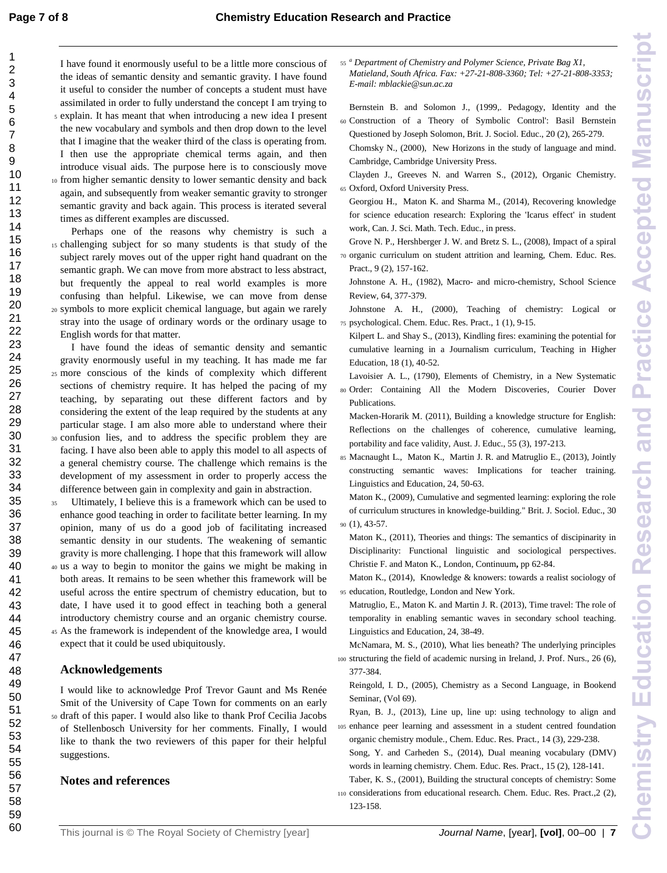I have found it enormously useful to be a little more conscious of the ideas of semantic density and semantic gravity. I have found it useful to consider the number of concepts a student must have assimilated in order to fully understand the concept I am trying to <sup>5</sup> explain. It has meant that when introducing a new idea I present the new vocabulary and symbols and then drop down to the level that I imagine that the weaker third of the class is operating from. I then use the appropriate chemical terms again, and then introduce visual aids. The purpose here is to consciously move <sup>10</sup> from higher semantic density to lower semantic density and back again, and subsequently from weaker semantic gravity to stronger semantic gravity and back again. This process is iterated several times as different examples are discussed.

Perhaps one of the reasons why chemistry is such a <sup>15</sup> challenging subject for so many students is that study of the subject rarely moves out of the upper right hand quadrant on the semantic graph. We can move from more abstract to less abstract, but frequently the appeal to real world examples is more confusing than helpful. Likewise, we can move from dense <sup>20</sup> symbols to more explicit chemical language, but again we rarely stray into the usage of ordinary words or the ordinary usage to English words for that matter.

I have found the ideas of semantic density and semantic gravity enormously useful in my teaching. It has made me far <sup>25</sup> more conscious of the kinds of complexity which different sections of chemistry require. It has helped the pacing of my teaching, by separating out these different factors and by considering the extent of the leap required by the students at any particular stage. I am also more able to understand where their <sup>30</sup> confusion lies, and to address the specific problem they are facing. I have also been able to apply this model to all aspects of a general chemistry course. The challenge which remains is the development of my assessment in order to properly access the difference between gain in complexity and gain in abstraction.

Ultimately, I believe this is a framework which can be used to enhance good teaching in order to facilitate better learning. In my opinion, many of us do a good job of facilitating increased semantic density in our students. The weakening of semantic gravity is more challenging. I hope that this framework will allow

- <sup>40</sup> us a way to begin to monitor the gains we might be making in both areas. It remains to be seen whether this framework will be useful across the entire spectrum of chemistry education, but to date, I have used it to good effect in teaching both a general introductory chemistry course and an organic chemistry course.
- <sup>45</sup> As the framework is independent of the knowledge area, I would expect that it could be used ubiquitously.

# **Acknowledgements**

I would like to acknowledge Prof Trevor Gaunt and Ms Renée Smit of the University of Cape Town for comments on an early <sup>50</sup> draft of this paper. I would also like to thank Prof Cecilia Jacobs of Stellenbosch University for her comments. Finally, I would like to thank the two reviewers of this paper for their helpful suggestions.

# **Notes and references**

- *a* <sup>55</sup> *Department of Chemistry and Polymer Science, Private Bag X1, Matieland, South Africa. Fax: +27-21-808-3360; Tel: +27-21-808-3353; E-mail: mblackie@sun.ac.za*
- Bernstein B. and Solomon J., (1999,. Pedagogy, Identity and the <sup>60</sup> Construction of a Theory of Symbolic Control': Basil Bernstein
- Questioned by Joseph Solomon, Brit. J. Sociol. Educ., 20 (2), 265-279. Chomsky N., (2000), New Horizons in the study of language and mind. Cambridge, Cambridge University Press.

Clayden J., Greeves N. and Warren S., (2012), Organic Chemistry. <sup>65</sup> Oxford, Oxford University Press.

- Georgiou H., Maton K. and Sharma M., (2014), Recovering knowledge for science education research: Exploring the 'Icarus effect' in student work, Can. J. Sci. Math. Tech. Educ., in press.
- Grove N. P., Hershberger J. W. and Bretz S. L., (2008), Impact of a spiral <sup>70</sup> organic curriculum on student attrition and learning, Chem. Educ. Res.
- Pract., 9 (2), 157-162.
- Johnstone A. H., (1982), Macro- and micro-chemistry, School Science Review, 64, 377-379.
- Johnstone A. H., (2000), Teaching of chemistry: Logical or <sup>75</sup> psychological. Chem. Educ. Res. Pract., 1 (1), 9-15.
- Kilpert L. and Shay S., (2013), Kindling fires: examining the potential for cumulative learning in a Journalism curriculum, Teaching in Higher Education, 18 (1), 40-52.

Lavoisier A. L., (1790), Elements of Chemistry, in a New Systematic

<sup>80</sup> Order: Containing All the Modern Discoveries, Courier Dover Publications.

Macken-Horarik M. (2011), Building a knowledge structure for English: Reflections on the challenges of coherence, cumulative learning, portability and face validity, Aust. J. Educ., 55 (3), 197-213.

- <sup>85</sup> Macnaught L., Maton K., Martin J. R. and Matruglio E., (2013), Jointly constructing semantic waves: Implications for teacher training. Linguistics and Education, 24, 50-63.
- Maton K., (2009), Cumulative and segmented learning: exploring the role of curriculum structures in knowledge-building." Brit. J. Sociol. Educ., 30 <sup>90</sup> (1), 43-57.

Maton K., (2011), Theories and things: The semantics of discipinarity in Disciplinarity: Functional linguistic and sociological perspectives. Christie F. and Maton K., London, Continuum**,** pp 62-84.

- Maton K., (2014), Knowledge & knowers: towards a realist sociology of <sup>95</sup> education, Routledge, London and New York.
- Matruglio, E., Maton K. and Martin J. R. (2013), Time travel: The role of temporality in enabling semantic waves in secondary school teaching. Linguistics and Education, 24, 38-49.
- McNamara, M. S., (2010), What lies beneath? The underlying principles <sup>100</sup> structuring the field of academic nursing in Ireland, J. Prof. Nurs., 26 (6), 377-384.

Reingold, I. D., (2005), Chemistry as a Second Language, in Bookend Seminar, (Vol 69).

Ryan, B. J., (2013), Line up, line up: using technology to align and <sup>105</sup> enhance peer learning and assessment in a student centred foundation

organic chemistry module., Chem. Educ. Res. Pract., 14 (3), 229-238. Song, Y. and Carheden S., (2014), Dual meaning vocabulary (DMV) words in learning chemistry. Chem. Educ. Res. Pract., 15 (2), 128-141.

Taber, K. S., (2001), Building the structural concepts of chemistry: Some <sup>110</sup> considerations from educational research. Chem. Educ. Res. Pract.,2 (2), 123-158.